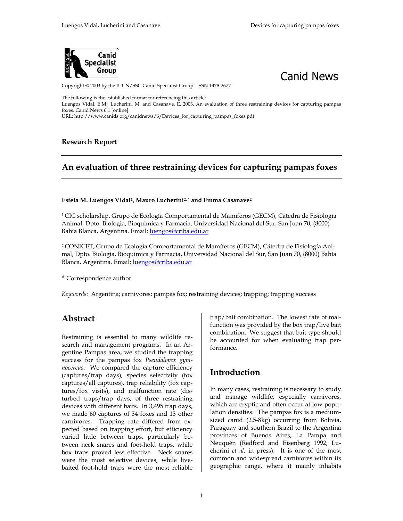



Copyright © 2003 by the IUCN/SSC Canid Specialist Group. ISSN 1478-2677

The following is the established format for referencing this article: Luengos Vidal, E.M., Lucherini, M. and Casanave, E. 2003. An evaluation of three restraining devices for capturing pampas foxes. Canid News 6:1 [online]

URL: http://www.canids.org/canidnews/6/Devices\_for\_capturing\_pampas\_foxes.pdf

### **Research Report**

# **An evaluation of three restraining devices for capturing pampas foxes**

#### **Estela M. Luengos Vidal1, Mauro Lucherini2, \* and Emma Casanave2**

1 CIC scholarship, Grupo de Ecología Comportamental de Mamíferos (GECM), Cátedra de Fisiología Animal, Dpto. Biologia, Bioquimica y Farmacia, Universidad Nacional del Sur, San Juan 70, (8000) Bahía Blanca, Argentina. Email: luengos@criba.edu.ar

2 CONICET, Grupo de Ecología Comportamental de Mamíferos (GECM), Cátedra de Fisiología Animal, Dpto. Biologia, Bioquimica y Farmacia, Universidad Nacional del Sur, San Juan 70, (8000) Bahía Blanca, Argentina. Email: luengos@criba.edu.ar

\* Correspondence author

*Keywords*: Argentina; carnivores; pampas fox; restraining devices; trapping; trapping success

## **Abstract**

Restraining is essential to many wildlife research and management programs. In an Argentine Pampas area, we studied the trapping success for the pampas fox *Pseudalopex gymnocercus*. We compared the capture efficiency (captures/trap days), species selectivity (fox captures/all captures), trap reliability (fox captures/fox visits), and malfunction rate (disturbed traps/trap days, of three restraining devices with different baits. In 3,495 trap days, we made 60 captures of 34 foxes and 13 other carnivores. Trapping rate differed from expected based on trapping effort, but efficiency varied little between traps, particularly between neck snares and foot-hold traps, while box traps proved less effective. Neck snares were the most selective devices, while livebaited foot-hold traps were the most reliable trap/bait combination. The lowest rate of malfunction was provided by the box trap/live bait combination. We suggest that bait type should be accounted for when evaluating trap performance.

## **Introduction**

In many cases, restraining is necessary to study and manage wildlife, especially carnivores, which are cryptic and often occur at low population densities. The pampas fox is a mediumsized canid (2.5-8kg) occurring from Bolivia, Paraguay and southern Brazil to the Argentina provinces of Buenos Aires, La Pampa and Neuquén (Redford and Eisenberg 1992, Lucherini *et al.* in press). It is one of the most common and widespread carnivores within its geographic range, where it mainly inhabits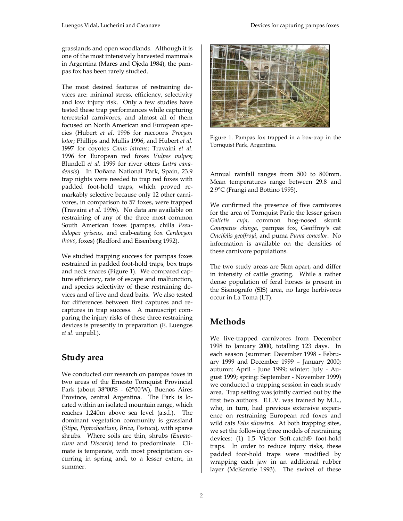grasslands and open woodlands. Although it is one of the most intensively harvested mammals in Argentina (Mares and Ojeda 1984), the pampas fox has been rarely studied.

The most desired features of restraining devices are: minimal stress, efficiency, selectivity and low injury risk. Only a few studies have tested these trap performances while capturing terrestrial carnivores, and almost all of them focused on North American and European species (Hubert *et al*. 1996 for raccoons *Procyon lotor*; Phillips and Mullis 1996, and Hubert *et al*. 1997 for coyotes *Canis latrans*; Travaini *et al*. 1996 for European red foxes *Vulpes vulpes*; Blundell *et al*. 1999 for river otters *Lutra canadensis*). In Doñana National Park, Spain, 23.9 trap nights were needed to trap red foxes with padded foot-hold traps, which proved remarkably selective because only 12 other carnivores, in comparison to 57 foxes, were trapped (Travaini *et al*. 1996). No data are available on restraining of any of the three most common South American foxes (pampas, chilla *Pseudalopex griseus*, and crab-eating fox *Cerdocyon thous*, foxes) (Redford and Eisenberg 1992).

We studied trapping success for pampas foxes restrained in padded foot-hold traps, box traps and neck snares (Figure 1). We compared capture efficiency, rate of escape and malfunction, and species selectivity of these restraining devices and of live and dead baits. We also tested for differences between first captures and recaptures in trap success. A manuscript comparing the injury risks of these three restraining devices is presently in preparation (E. Luengos *et al*. unpubl.).

# **Study area**

We conducted our research on pampas foxes in two areas of the Ernesto Tornquist Provincial Park (about 38°00'S - 62°00'W), Buenos Aires Province, central Argentina. The Park is located within an isolated mountain range, which reaches 1,240m above sea level (a.s.l.). The dominant vegetation community is grassland (*Stipa*, *Piptochaetium*, *Briza*, *Festuca*), with sparse shrubs. Where soils are thin, shrubs (*Eupatorium* and *Discaria*) tend to predominate. Climate is temperate, with most precipitation occurring in spring and, to a lesser extent, in summer.



Figure 1. Pampas fox trapped in a box-trap in the Tornquist Park, Argentina.

Annual rainfall ranges from 500 to 800mm. Mean temperatures range between 29.8 and 2.9°C (Frangi and Bottino 1995).

We confirmed the presence of five carnivores for the area of Tornquist Park: the lesser grison *Galictis cuja*, common hog-nosed skunk *Conepatus chinga*, pampas fox, Geoffroy's cat *Oncifelis geoffroyi*, and puma *Puma concolor*. No information is available on the densities of these carnivore populations.

The two study areas are 5km apart, and differ in intensity of cattle grazing. While a rather dense population of feral horses is present in the Sismografo (SIS) area, no large herbivores occur in La Toma (LT).

# **Methods**

We live-trapped carnivores from December 1998 to January 2000, totalling 123 days. In each season (summer: December 1998 - February 1999 and December 1999 – January 2000; autumn: April - June 1999; winter: July - August 1999; spring: September - November 1999) we conducted a trapping session in each study area. Trap setting was jointly carried out by the first two authors. E.L.V. was trained by M.L., who, in turn, had previous extensive experience on restraining European red foxes and wild cats *Felis silvestris*. At both trapping sites, we set the following three models of restraining devices: (1) 1.5 Victor Soft-catch® foot-hold traps. In order to reduce injury risks, these padded foot-hold traps were modified by wrapping each jaw in an additional rubber layer (McKenzie 1993). The swivel of these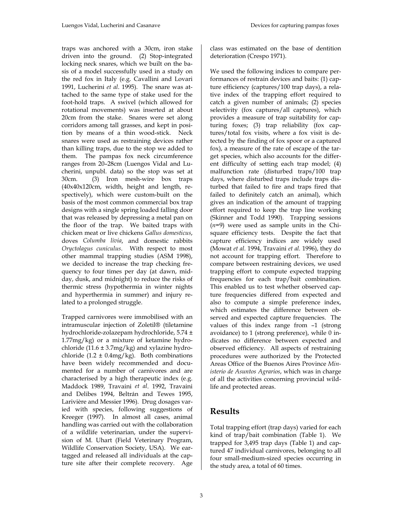traps was anchored with a 30cm, iron stake driven into the ground. (2) Stop-integrated locking neck snares, which we built on the basis of a model successfully used in a study on the red fox in Italy (e.g. Cavallini and Lovari 1991, Lucherini *et al*. 1995). The snare was attached to the same type of stake used for the foot-hold traps. A swivel (which allowed for rotational movements) was inserted at about 20cm from the stake. Snares were set along corridors among tall grasses, and kept in position by means of a thin wood-stick. Neck snares were used as restraining devices rather than killing traps, due to the stop we added to them. The pampas fox neck circumference ranges from 20–28cm (Luengos Vidal and Lucherini, unpubl. data) so the stop was set at 30cm. (3) Iron mesh-wire box traps (40x40x120cm, width, height and length, respectively), which were custom-built on the basis of the most common commercial box trap designs with a single spring loaded falling door that was released by depressing a metal pan on the floor of the trap. We baited traps with chicken meat or live chickens *Gallus domesticus*, doves *Columba livia*, and domestic rabbits *Oryctolagus cuniculus*. With respect to most other mammal trapping studies (ASM 1998), we decided to increase the trap checking frequency to four times per day (at dawn, midday, dusk, and midnight) to reduce the risks of thermic stress (hypothermia in winter nights and hyperthermia in summer) and injury related to a prolonged struggle.

Trapped carnivores were immobilised with an intramuscular injection of Zoletil® (tiletamine hydrochloride-zolazepam hydrochloride, 5.74 ± 1.77mg/kg) or a mixture of ketamine hydrochloride  $(11.6 \pm 3.7 \text{mg/kg})$  and xylazine hydrochloride  $(1.2 \pm 0.4 \text{mg/kg})$ . Both combinations have been widely recommended and documented for a number of carnivores and are characterised by a high therapeutic index (e.g. Maddock 1989, Travaini *et al*. 1992, Travaini and Delibes 1994, Beltrán and Tewes 1995, Larivière and Messier 1996). Drug dosages varied with species, following suggestions of Kreeger (1997). In almost all cases, animal handling was carried out with the collaboration of a wildlife veterinarian, under the supervision of M. Uhart (Field Veterinary Program, Wildlife Conservation Society, USA). We eartagged and released all individuals at the capture site after their complete recovery. Age

class was estimated on the base of dentition deterioration (Crespo 1971).

We used the following indices to compare performances of restrain devices and baits: (1) capture efficiency (captures/100 trap days), a relative index of the trapping effort required to catch a given number of animals; (2) species selectivity (fox captures/all captures), which provides a measure of trap suitability for capturing foxes; (3) trap reliability (fox captures/total fox visits, where a fox visit is detected by the finding of fox spoor or a captured fox), a measure of the rate of escape of the target species, which also accounts for the different difficulty of setting each trap model; (4) malfunction rate (disturbed traps/100 trap days, where disturbed traps include traps disturbed that failed to fire and traps fired that failed to definitely catch an animal), which gives an indication of the amount of trapping effort required to keep the trap line working (Skinner and Todd 1990). Trapping sessions (*n*=9) were used as sample units in the Chisquare efficiency tests. Despite the fact that capture efficiency indices are widely used (Mowat *et al.* 1994, Travaini *et al.* 1996), they do not account for trapping effort. Therefore to compare between restraining devices, we used trapping effort to compute expected trapping frequencies for each trap/bait combination. This enabled us to test whether observed capture frequencies differed from expected and also to compute a simple preference index, which estimates the difference between observed and expected capture frequencies. The values of this index range from –1 (strong avoidance) to 1 (strong preference), while 0 indicates no difference between expected and observed efficiency. All aspects of restraining procedures were authorized by the Protected Areas Office of the Buenos Aires Province *Ministerio de Asuntos Agrarios*, which was in charge of all the activities concerning provincial wildlife and protected areas.

## **Results**

Total trapping effort (trap days) varied for each kind of trap/bait combination (Table 1). We trapped for 3,495 trap days (Table 1) and captured 47 individual carnivores, belonging to all four small-medium-sized species occurring in the study area, a total of 60 times.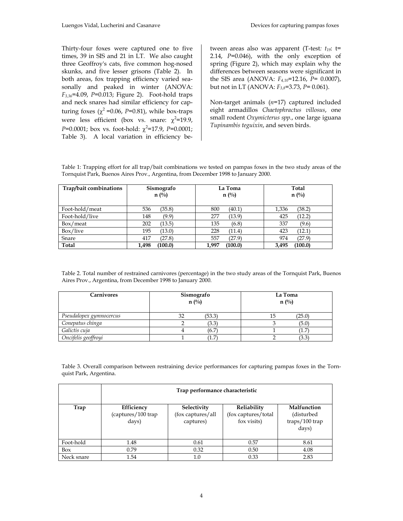Thirty-four foxes were captured one to five times, 39 in SIS and 21 in LT. We also caught three Geoffroy's cats, five common hog-nosed skunks, and five lesser grisons (Table 2). In both areas, fox trapping efficiency varied seasonally and peaked in winter (ANOVA: *F3,36*=4.09, *P*=0.013; Figure 2). Foot-hold traps and neck snares had similar efficiency for capturing foxes ( $\chi^2$  =0.06, *P*=0.81), while box-traps were less efficient (box vs. snare:  $\chi^2$ =19.9,  $P=0.0001$ ; box vs. foot-hold:  $\chi^2=17.9$ ,  $P=0.0001$ ; Table 3). A local variation in efficiency be-

tween areas also was apparent (T-test*: t19*: t= 2.14, *P*=0.046), with the only exception of spring (Figure 2), which may explain why the differences between seasons were significant in the SIS area (ANOVA: *F4,10*=12.16, *P*= 0.0007), but not in LT (ANOVA: *F3,8*=3.73, *P*= 0.061).

Non-target animals (*n*=17) captured included eight armadillos *Chaetophractus villosus*, one small rodent *Oxymicterus spp.*, one large iguana *Tupinambis teguixin*, and seven birds.

Table 1: Trapping effort for all trap/bait combinations we tested on pampas foxes in the two study areas of the Tornquist Park, Buenos Aires Prov., Argentina, from December 1998 to January 2000.

| Trap/bait combinations | Sismografo    | La Toma       | Total         |
|------------------------|---------------|---------------|---------------|
|                        | $n(^{0}_{0})$ | $n(^{0}_{0})$ | $n(^{0}_{0})$ |
| Foot-hold/meat         | (35.8)        | 800           | (38.2)        |
|                        | 536           | (40.1)        | 1,336         |
| Foot-hold/live         | (9.9)         | 277           | (12.2)        |
|                        | 148           | (13.9)        | 425           |
| Box/meat               | (13.5)        | 135           | 337           |
|                        | 202           | (6.8)         | (9.6)         |
| Box/live               | (13.0)        | 228           | (12.1)        |
|                        | 195           | (11.4)        | 423           |
| Snare                  | (27.8)        | 557           | (27.9)        |
|                        | 417           | (27.9)        | 974           |
| <b>Total</b>           | (100.0)       | 1.997         | (100.0)       |
|                        | 1,498         | (100.0)       | 3.495         |

Table 2. Total number of restrained carnivores (percentage) in the two study areas of the Tornquist Park, Buenos Aires Prov., Argentina, from December 1998 to January 2000.

| Carnivores              | Sismografo<br>$n(^{0}/_{0})$ |        | La Toma<br>$n(^{0}_{0})$ |         |
|-------------------------|------------------------------|--------|--------------------------|---------|
| Pseudalopex gymnocercus | ٦ŋ                           | (53.3) | 15                       | (25.0)  |
| Conepatus chinga        |                              | (3.3)  |                          | (5.0)   |
| Galictis cuja           |                              | (6.7)  |                          | $\pm$ . |
| Oncifelis geoffroyi     |                              | Ί.7    |                          | (3.3    |

Table 3. Overall comparison between restraining device performances for capturing pampas foxes in the Tornquist Park, Argentina.

|            | Trap performance characteristic           |                                               |                                                   |                                                        |  |
|------------|-------------------------------------------|-----------------------------------------------|---------------------------------------------------|--------------------------------------------------------|--|
| Trap       | Efficiency<br>(captures/100 trap<br>days) | Selectivity<br>(fox captures/all<br>captures) | Reliability<br>(fox captures/total<br>fox visits) | Malfunction<br>(disturbed<br>$traps/100$ trap<br>days) |  |
| Foot-hold  | 1.48                                      | 0.61                                          | 0.57                                              | 8.61                                                   |  |
| Box        | 0.79                                      | 0.32                                          | 0.50                                              | 4.08                                                   |  |
| Neck snare | 1.54                                      | 1.0                                           | 0.33                                              | 2.83                                                   |  |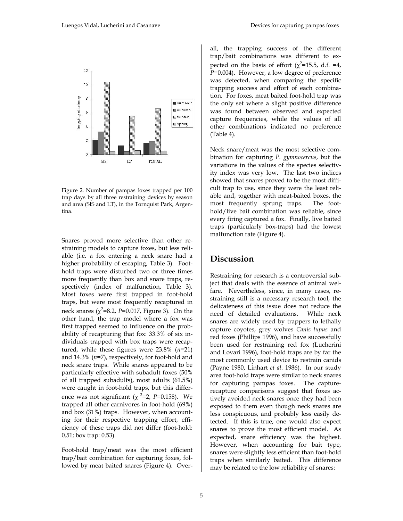

Figure 2. Number of pampas foxes trapped per 100 trap days by all three restraining devices by season and area (SIS and LT), in the Tornquist Park, Argentina.

Snares proved more selective than other restraining models to capture foxes, but less reliable (i.e. a fox entering a neck snare had a higher probability of escaping, Table 3). Foothold traps were disturbed two or three times more frequently than box and snare traps, respectively (index of malfunction, Table 3). Most foxes were first trapped in foot-hold traps, but were most frequently recaptured in neck snares  $(\chi^2=8.2, P=0.017,$  Figure 3). On the other hand, the trap model where a fox was first trapped seemed to influence on the probability of recapturing that fox: 33.3% of six individuals trapped with box traps were recaptured, while these figures were 23.8% (*n*=21) and 14.3% (*n*=7), respectively, for foot-hold and neck snare traps. While snares appeared to be particularly effective with subadult foxes (50% of all trapped subadults), most adults (61.5%) were caught in foot-hold traps, but this difference was not significant ( $\chi^2$ =2, *P*=0.158). We trapped all other carnivores in foot-hold (69%) and box (31%) traps. However, when accounting for their respective trapping effort, efficiency of these traps did not differ (foot-hold: 0.51; box trap: 0.53).

Foot-hold trap/meat was the most efficient trap/bait combination for capturing foxes, followed by meat baited snares (Figure 4). Overall, the trapping success of the different trap/bait combinations was different to expected on the basis of effort ( $\chi^2$ =15.5, d.f. =4, *P*=0.004). However, a low degree of preference was detected, when comparing the specific trapping success and effort of each combination. For foxes, meat baited foot-hold trap was the only set where a slight positive difference was found between observed and expected capture frequencies, while the values of all other combinations indicated no preference (Table 4).

Neck snare/meat was the most selective combination for capturing *P. gymnocercus*, but the variations in the values of the species selectivity index was very low. The last two indices showed that snares proved to be the most difficult trap to use, since they were the least reliable and, together with meat-baited boxes, the most frequently sprung traps. The foothold/live bait combination was reliable, since every firing captured a fox. Finally, live baited traps (particularly box-traps) had the lowest malfunction rate (Figure 4).

### **Discussion**

Restraining for research is a controversial subject that deals with the essence of animal welfare. Nevertheless, since, in many cases, restraining still is a necessary research tool, the delicateness of this issue does not reduce the need of detailed evaluations. While neck snares are widely used by trappers to lethally capture coyotes, grey wolves *Canis lupus* and red foxes (Phillips 1996), and have successfully been used for restraining red fox (Lucherini and Lovari 1996), foot-hold traps are by far the most commonly used device to restrain canids (Payne 1980, Linhart *et al*. 1986). In our study area foot-hold traps were similar to neck snares for capturing pampas foxes. The capturerecapture comparisons suggest that foxes actively avoided neck snares once they had been exposed to them even though neck snares are less conspicuous, and probably less easily detected. If this is true, one would also expect snares to prove the most efficient model. As expected, snare efficiency was the highest. However, when accounting for bait type, snares were slightly less efficient than foot-hold traps when similarly baited. This difference may be related to the low reliability of snares: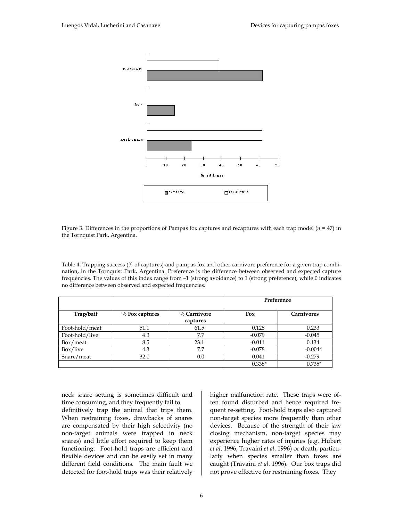

Figure 3. Differences in the proportions of Pampas fox captures and recaptures with each trap model (*n* = 47) in the Tornquist Park, Argentina.

Table 4. Trapping success (% of captures) and pampas fox and other carnivore preference for a given trap combination, in the Tornquist Park, Argentina. Preference is the difference between observed and expected capture frequencies. The values of this index range from –1 (strong avoidance) to 1 (strong preference), while 0 indicates no difference between observed and expected frequencies.

|                |                   |                         | Preference |                   |
|----------------|-------------------|-------------------------|------------|-------------------|
| Trap/bait      | $\%$ Fox captures | % Carnivore<br>captures | Fox        | <b>Carnivores</b> |
| Foot-hold/meat | 51.1              | 61.5                    | 0.128      | 0.233             |
| Foot-hold/live | 4.3               | 7.7                     | $-0.079$   | $-0.045$          |
| Box/meat       | 8.5               | 23.1                    | $-0.011$   | 0.134             |
| Box/live       | 4.3               | 7.7                     | $-0.078$   | $-0.0044$         |
| Snare/meat     | 32.0              | 0.0                     | 0.041      | $-0.279$          |
|                |                   |                         | $0.338*$   | $0.735*$          |

neck snare setting is sometimes difficult and time consuming, and they frequently fail to definitively trap the animal that trips them. When restraining foxes, drawbacks of snares are compensated by their high selectivity (no non-target animals were trapped in neck snares) and little effort required to keep them functioning. Foot-hold traps are efficient and flexible devices and can be easily set in many different field conditions. The main fault we detected for foot-hold traps was their relatively

higher malfunction rate. These traps were often found disturbed and hence required frequent re-setting. Foot-hold traps also captured non-target species more frequently than other devices. Because of the strength of their jaw closing mechanism, non-target species may experience higher rates of injuries (e.g. Hubert *et al*. 1996, Travaini *et al*. 1996) or death, particularly when species smaller than foxes are caught (Travaini *et al*. 1996). Our box traps did not prove effective for restraining foxes. They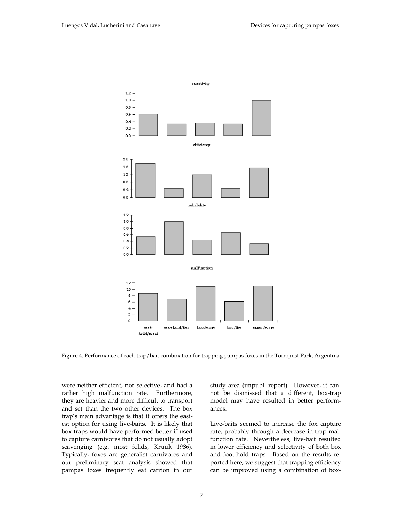

Figure 4. Performance of each trap/bait combination for trapping pampas foxes in the Tornquist Park, Argentina.

were neither efficient, nor selective, and had a rather high malfunction rate. Furthermore, they are heavier and more difficult to transport and set than the two other devices. The box trap's main advantage is that it offers the easiest option for using live-baits. It is likely that box traps would have performed better if used to capture carnivores that do not usually adopt scavenging (e.g. most felids, Kruuk 1986). Typically, foxes are generalist carnivores and our preliminary scat analysis showed that pampas foxes frequently eat carrion in our

study area (unpubl. report). However, it cannot be dismissed that a different, box-trap model may have resulted in better performances.

Live-baits seemed to increase the fox capture rate, probably through a decrease in trap malfunction rate. Nevertheless, live-bait resulted in lower efficiency and selectivity of both box and foot-hold traps. Based on the results reported here, we suggest that trapping efficiency can be improved using a combination of box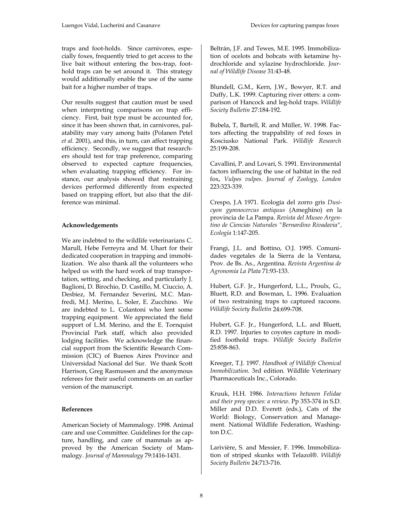traps and foot-holds. Since carnivores, especially foxes, frequently tried to get access to the live bait without entering the box-trap, foothold traps can be set around it. This strategy would additionally enable the use of the same bait for a higher number of traps.

Our results suggest that caution must be used when interpreting comparisons on trap efficiency. First, bait type must be accounted for, since it has been shown that, in carnivores, palatability may vary among baits (Polanen Petel *et al.* 2001), and this, in turn, can affect trapping efficiency. Secondly, we suggest that researchers should test for trap preference, comparing observed to expected capture frequencies, when evaluating trapping efficiency. For instance, our analysis showed that restraining devices performed differently from expected based on trapping effort, but also that the difference was minimal.

#### **Acknowledgements**

We are indebted to the wildlife veterinarians C. Marull, Hebe Ferreyra and M. Uhart for their dedicated cooperation in trapping and immobilization. We also thank all the volunteers who helped us with the hard work of trap transportation, setting, and checking, and particularly J. Baglioni, D. Birochio, D. Castillo, M. Ciuccio, A. Desbiez, M. Fernandez Severini, M.C. Manfredi, M.J. Merino, L. Soler, E. Zucchino. We are indebted to L. Colantoni who lent some trapping equipment. We appreciated the field support of L.M. Merino, and the E. Tornquist Provincial Park staff, which also provided lodging facilities. We acknowledge the financial support from the Scientific Research Commission (CIC) of Buenos Aires Province and Universidad Nacional del Sur. We thank Scott Harrison, Greg Rasmussen and the anonymous referees for their useful comments on an earlier version of the manuscript.

#### **References**

American Society of Mammalogy. 1998. Animal care and use Committee. Guidelines for the capture, handling, and care of mammals as approved by the American Society of Mammalogy. *Journal of Mammalogy* 79:1416-1431.

Beltrán, J.F. and Tewes, M.E. 1995. Immobilization of ocelots and bobcats with ketamine hydrochloride and xylazine hydrochloride. *Journal of Wildlife Disease* 31:43-48.

Blundell, G.M., Kern, J.W., Bowyer, R.T. and Duffy, L.K. 1999. Capturing river otters: a comparison of Hancock and leg-hold traps. *Wildlife Society Bulletin* 27:184-192.

Bubela, T, Bartell, R. and Müller, W. 1998. Factors affecting the trappability of red foxes in Kosciusko National Park. *Wildlife Research* 25:199-208.

Cavallini, P. and Lovari, S. 1991. Environmental factors influencing the use of habitat in the red fox, *Vulpes vulpes*. *Journal of Zoology, London* 223:323-339.

Crespo, J.A 1971. Ecología del zorro gris *Dusicyon gymnocercus antiquus* (Ameghino) en la provincia de La Pampa. *Revista del Museo Argentino de Ciencias Naturales "Bernardino Rivadavia", Ecología* 1:147-205.

Frangi, J.L. and Bottino, O.J. 1995. Comunidades vegetales de la Sierra de la Ventana, Prov. de Bs. As., Argentina. *Revista Argentina de Agronomía La Plata* 71:93-133.

Hubert, G.F. Jr., Hungerford, L.L., Proulx, G., Bluett, R.D. and Bowman, L. 1996. Evaluation of two restraining traps to captured racoons. *Wildlife Society Bulletin* 24:699-708.

Hubert, G.F. Jr., Hungerford, L.L. and Bluett, R.D. 1997. Injuries to coyotes capture in modified foothold traps. *Wildlife Society Bulletin* 25:858-863.

Kreeger, T.J. 1997. *Handbook of Wildlife Chemical Immobilization*. 3rd edition. Wildlife Veterinary Pharmaceuticals Inc., Colorado.

Kruuk, H.H. 1986. *Interactions between Felidae and their prey species: a review*. Pp 353-374 in S.D. Miller and D.D. Everett (eds.), Cats of the World: Biology, Conservation and Management. National Wildlife Federation, Washington D.C.

Larivière, S. and Messier, F. 1996. Immobilization of striped skunks with Telazol®. *Wildlife Society Bulletin* 24:713-716.